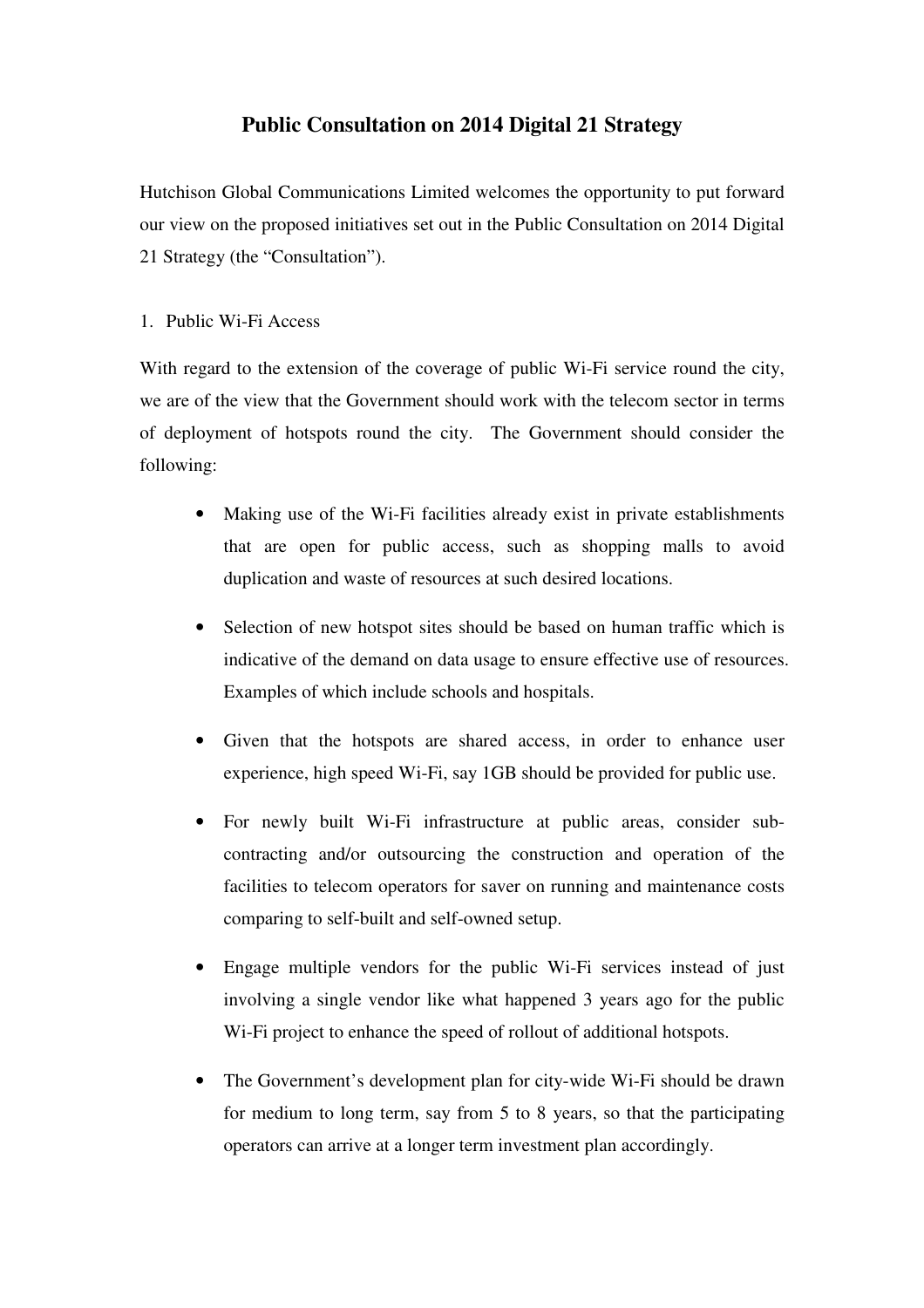# **Public Consultation on 2014 Digital 21 Strategy**

 Hutchison Global Communications Limited welcomes the opportunity to put forward our view on the proposed initiatives set out in the Public Consultation on 2014 Digital 21 Strategy (the "Consultation").

# 1. Public Wi-Fi Access

 With regard to the extension of the coverage of public Wi-Fi service round the city, we are of the view that the Government should work with the telecom sector in terms of deployment of hotspots round the city. The Government should consider the following:

- • Making use of the Wi-Fi facilities already exist in private establishments that are open for public access, such as shopping malls to avoid duplication and waste of resources at such desired locations.
- Selection of new hotspot sites should be based on human traffic which is indicative of the demand on data usage to ensure effective use of resources. Examples of which include schools and hospitals.
- • Given that the hotspots are shared access, in order to enhance user experience, high speed Wi-Fi, say 1GB should be provided for public use.
- • For newly built Wi-Fi infrastructure at public areas, consider sub- contracting and/or outsourcing the construction and operation of the facilities to telecom operators for saver on running and maintenance costs comparing to self-built and self-owned setup.
- • Engage multiple vendors for the public Wi-Fi services instead of just involving a single vendor like what happened 3 years ago for the public Wi-Fi project to enhance the speed of rollout of additional hotspots.
- The Government's development plan for city-wide Wi-Fi should be drawn for medium to long term, say from 5 to 8 years, so that the participating operators can arrive at a longer term investment plan accordingly.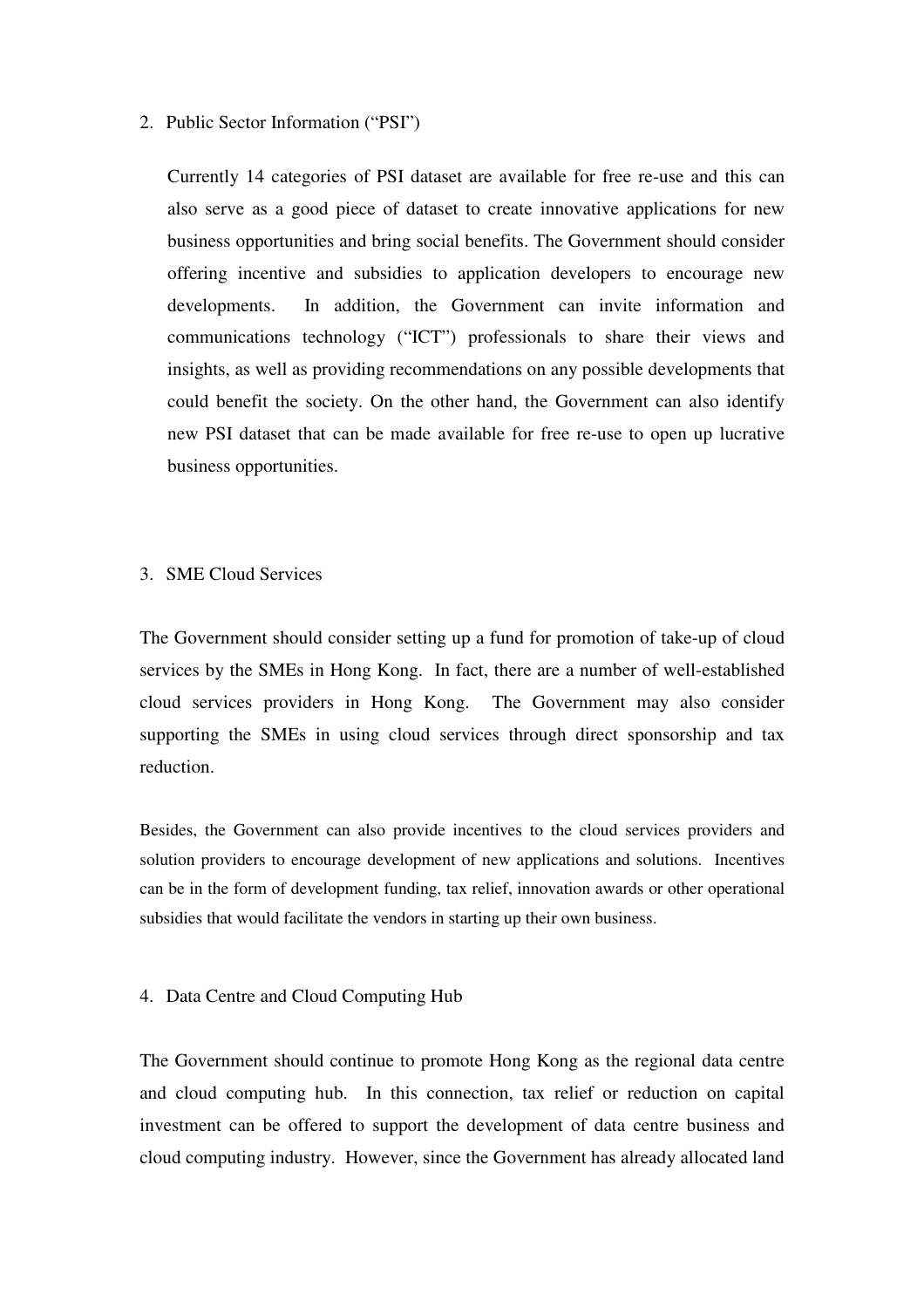## 2. Public Sector Information ("PSI")

 Currently 14 categories of PSI dataset are available for free re-use and this can also serve as a good piece of dataset to create innovative applications for new business opportunities and bring social benefits. The Government should consider offering incentive and subsidies to application developers to encourage new developments. communications technology ("ICT") professionals to share their views and insights, as well as providing recommendations on any possible developments that could benefit the society. On the other hand, the Government can also identify new PSI dataset that can be made available for free re-use to open up lucrative In addition, the Government can invite information and business opportunities.

#### 3. SME Cloud Services

 The Government should consider setting up a fund for promotion of take-up of cloud services by the SMEs in Hong Kong. In fact, there are a number of well-established cloud services providers in Hong Kong. The Government may also consider supporting the SMEs in using cloud services through direct sponsorship and tax reduction.

 Besides, the Government can also provide incentives to the cloud services providers and solution providers to encourage development of new applications and solutions. Incentives can be in the form of development funding, tax relief, innovation awards or other operational subsidies that would facilitate the vendors in starting up their own business.

## 4. Data Centre and Cloud Computing Hub

 The Government should continue to promote Hong Kong as the regional data centre and cloud computing hub. In this connection, tax relief or reduction on capital investment can be offered to support the development of data centre business and cloud computing industry. However, since the Government has already allocated land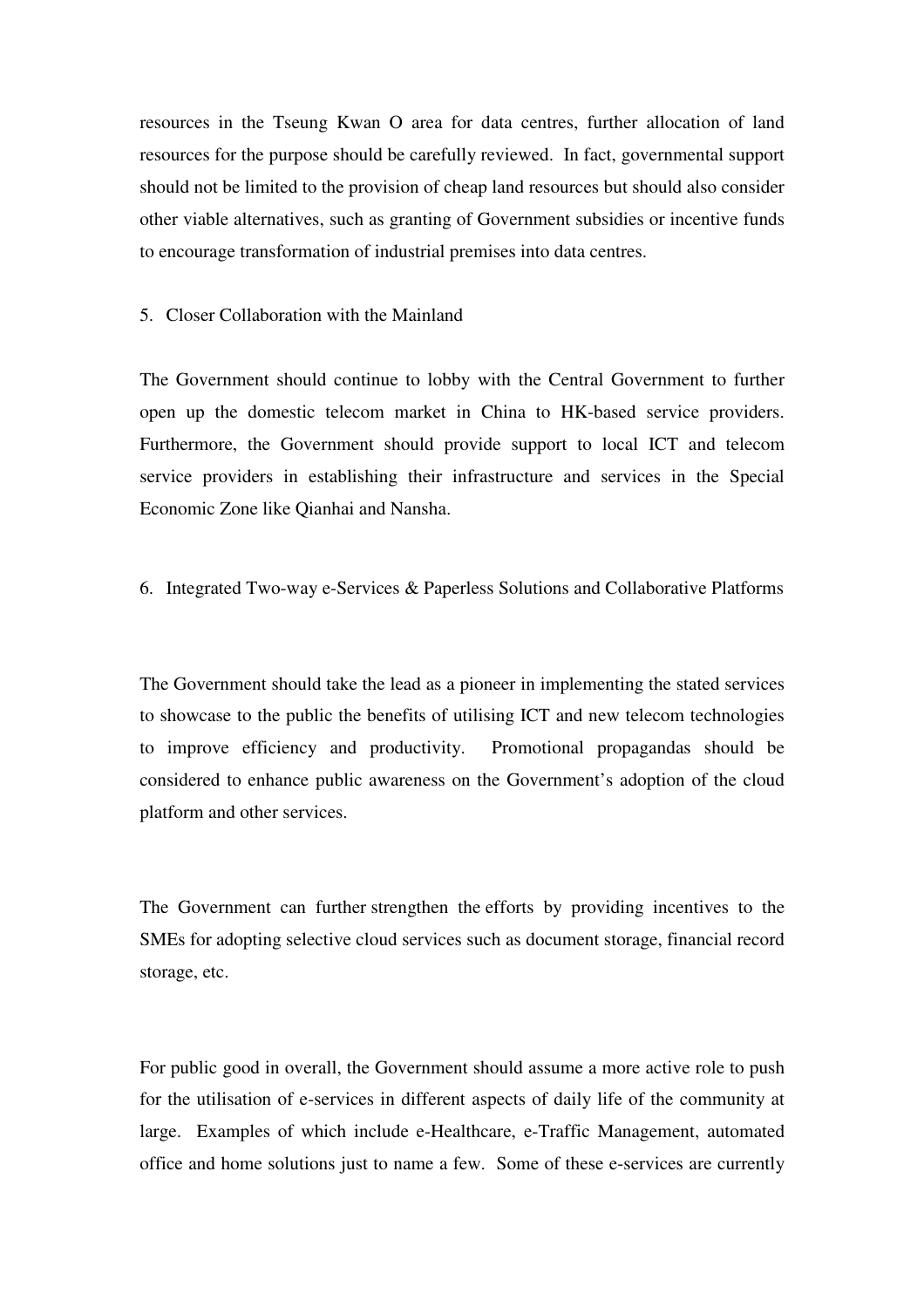resources in the Tseung Kwan O area for data centres, further allocation of land resources for the purpose should be carefully reviewed. In fact, governmental support should not be limited to the provision of cheap land resources but should also consider other viable alternatives, such as granting of Government subsidies or incentive funds to encourage transformation of industrial premises into data centres.

## 5. Closer Collaboration with the Mainland

 The Government should continue to lobby with the Central Government to further open up the domestic telecom market in China to HK-based service providers. Furthermore, the Government should provide support to local ICT and telecom service providers in establishing their infrastructure and services in the Special Economic Zone like Qianhai and Nansha.

# 6. Integrated Two-way e-Services & Paperless Solutions and Collaborative Platforms

 The Government should take the lead as a pioneer in implementing the stated services to showcase to the public the benefits of utilising ICT and new telecom technologies to improve efficiency and productivity. Promotional propagandas should be considered to enhance public awareness on the Government's adoption of the cloud platform and other services.

 The Government can further strengthen the efforts by providing incentives to the SMEs for adopting selective cloud services such as document storage, financial record storage, etc.

 For public good in overall, the Government should assume a more active role to push for the utilisation of e-services in different aspects of daily life of the community at large. Examples of which include e-Healthcare, e-Traffic Management, automated office and home solutions just to name a few. Some of these e-services are currently